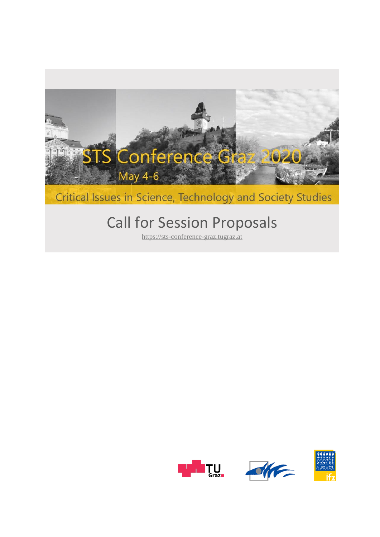

# Critical Issues in Science, Technology and Society Studies

# Call for Session Proposals

[https://sts-conference-graz.tugraz.at](https://sts-conference.isds.tugraz.at/event/10/)





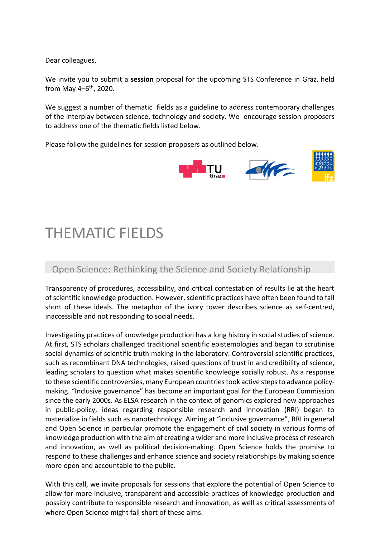Dear colleagues,

We invite you to submit a **session** proposal for the upcoming STS Conference in Graz, held from May 4–6<sup>th</sup>, 2020.

We suggest a number of thematic fields as a guideline to address contemporary challenges of the interplay between science, technology and society. We encourage session proposers to address one of the thematic fields listed below.

Please follow the guidelines for session proposers as outlined below.



# THEMATIC FIELDS

#### Open Science: Rethinking the Science and Society Relationship

Transparency of procedures, accessibility, and critical contestation of results lie at the heart of scientific knowledge production. However, scientific practices have often been found to fall short of these ideals. The metaphor of the ivory tower describes science as self-centred, inaccessible and not responding to social needs.

Investigating practices of knowledge production has a long history in social studies of science. At first, STS scholars challenged traditional scientific epistemologies and began to scrutinise social dynamics of scientific truth making in the laboratory. Controversial scientific practices, such as recombinant DNA technologies, raised questions of trust in and credibility of science, leading scholars to question what makes scientific knowledge socially robust. As a response to these scientific controversies, many European countries took active steps to advance policymaking. "Inclusive governance" has become an important goal for the European Commission since the early 2000s. As ELSA research in the context of genomics explored new approaches in public-policy, ideas regarding responsible research and innovation (RRI) began to materialize in fields such as nanotechnology. Aiming at "inclusive governance", RRI in general and Open Science in particular promote the engagement of civil society in various forms of knowledge production with the aim of creating a wider and more inclusive process of research and innovation, as well as political decision-making. Open Science holds the promise to respond to these challenges and enhance science and society relationships by making science more open and accountable to the public.

With this call, we invite proposals for sessions that explore the potential of Open Science to allow for more inclusive, transparent and accessible practices of knowledge production and possibly contribute to responsible research and innovation, as well as critical assessments of where Open Science might fall short of these aims.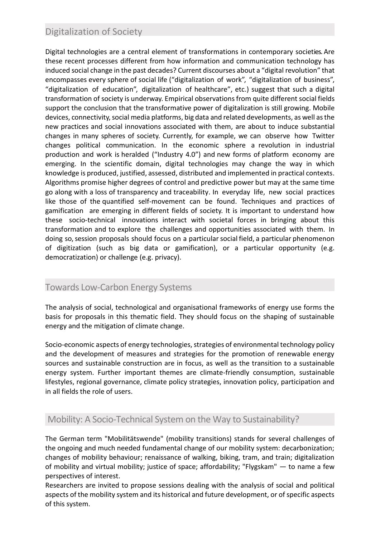## Digitalization of Society

Digital technologies are a central element of transformations in contemporary societies. Are these recent processes different from how information and communication technology has induced social change in the past decades? Current discourses about a "digital revolution" that encompasses every sphere of social life ("digitalization of work", "digitalization of business", "digitalization of education", digitalization of healthcare", etc.) suggest that such a digital transformation of society is underway. Empirical observations from quite different social fields support the conclusion that the transformative power of digitalization is still growing. Mobile devices, connectivity, social media platforms, big data and related developments, as well as the new practices and social innovations associated with them, are about to induce substantial changes in many spheres of society. Currently, for example, we can observe how Twitter changes political communication. In the economic sphere a revolution in industrial production and work is heralded ("Industry 4.0") and new forms of platform economy are emerging. In the scientific domain, digital technologies may change the way in which knowledge is produced, justified, assessed, distributed and implemented in practical contexts. Algorithms promise higher degrees of control and predictive power but may at the same time go along with a loss of transparency and traceability. In everyday life, new social practices like those of the quantified self-movement can be found. Techniques and practices of gamification are emerging in different fields of society. It is important to understand how these socio-technical innovations interact with societal forces in bringing about this transformation and to explore the challenges and opportunities associated with them. In doing so, session proposals should focus on a particular social field, a particular phenomenon of digitization (such as big data or gamification), or a particular opportunity (e.g. democratization) or challenge (e.g. privacy).

#### Towards Low-Carbon Energy Systems

The analysis of social, technological and organisational frameworks of energy use forms the basis for proposals in this thematic field. They should focus on the shaping of sustainable energy and the mitigation of climate change.

Socio-economic aspects of energy technologies, strategies of environmental technology policy and the development of measures and strategies for the promotion of renewable energy sources and sustainable construction are in focus, as well as the transition to a sustainable energy system. Further important themes are climate-friendly consumption, sustainable lifestyles, regional governance, climate policy strategies, innovation policy, participation and in all fields the role of users.

#### Mobility: A Socio-Technical System on the Way to Sustainability?

The German term "Mobilitätswende" (mobility transitions) stands for several challenges of the ongoing and much needed fundamental change of our mobility system: decarbonization; changes of mobility behaviour; renaissance of walking, biking, tram, and train; digitalization of mobility and virtual mobility; justice of space; affordability; "Flygskam" — to name a few perspectives of interest.

Researchers are invited to propose sessions dealing with the analysis of social and political aspects of the mobility system and its historical and future development, or of specific aspects of this system.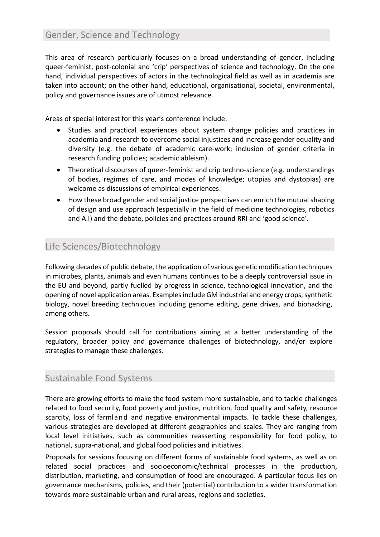This area of research particularly focuses on a broad understanding of gender, including queer-feminist, post-colonial and 'crip' perspectives of science and technology. On the one hand, individual perspectives of actors in the technological field as well as in academia are taken into account; on the other hand, educational, organisational, societal, environmental, policy and governance issues are of utmost relevance.

Areas of special interest for this year's conference include:

- Studies and practical experiences about system change policies and practices in academia and research to overcome social injustices and increase gender equality and diversity (e.g. the debate of academic care-work; inclusion of gender criteria in research funding policies; academic ableism).
- Theoretical discourses of queer-feminist and crip techno-science (e.g. understandings of bodies, regimes of care, and modes of knowledge; utopias and dystopias) are welcome as discussions of empirical experiences.
- How these broad gender and social justice perspectives can enrich the mutual shaping of design and use approach (especially in the field of medicine technologies, robotics and A.I) and the debate, policies and practices around RRI and 'good science'.

### Life Sciences/Biotechnology

Following decades of public debate, the application of various genetic modification techniques in microbes, plants, animals and even humans continues to be a deeply controversial issue in the EU and beyond, partly fuelled by progress in science, technological innovation, and the opening of novel application areas. Examples include GM industrial and energy crops, synthetic biology, novel breeding techniques including genome editing, gene drives, and biohacking, among others.

Session proposals should call for contributions aiming at a better understanding of the regulatory, broader policy and governance challenges of biotechnology, and/or explore strategies to manage these challenges.

# Sustainable Food Systems

There are growing efforts to make the food system more sustainable, and to tackle challenges related to food security, food poverty and justice, nutrition, food quality and safety, resource scarcity, loss of farmland and negative environmental impacts. To tackle these challenges, various strategies are developed at different geographies and scales. They are ranging from local level initiatives, such as communities reasserting responsibility for food policy, to national, supra-national, and global food policies and initiatives.

Proposals for sessions focusing on different forms of sustainable food systems, as well as on related social practices and socioeconomic/technical processes in the production, distribution, marketing, and consumption of food are encouraged. A particular focus lies on governance mechanisms, policies, and their (potential) contribution to a wider transformation towards more sustainable urban and rural areas, regions and societies.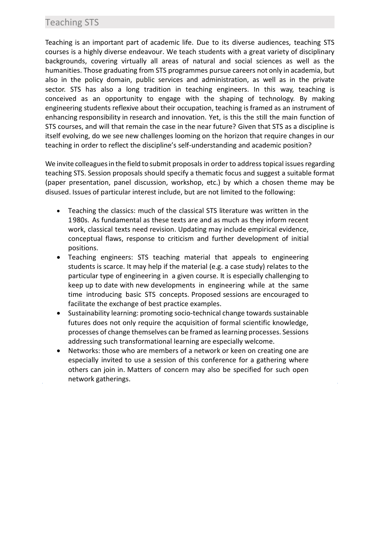#### Teaching STS

Teaching is an important part of academic life. Due to its diverse audiences, teaching STS courses is a highly diverse endeavour. We teach students with a great variety of disciplinary backgrounds, covering virtually all areas of natural and social sciences as well as the humanities. Those graduating from STS programmes pursue careers not only in academia, but also in the policy domain, public services and administration, as well as in the private sector. STS has also a long tradition in teaching engineers. In this way, teaching is conceived as an opportunity to engage with the shaping of technology. By making engineering students reflexive about their occupation, teaching is framed as an instrument of enhancing responsibility in research and innovation. Yet, is this the still the main function of STS courses, and will that remain the case in the near future? Given that STS as a discipline is itself evolving, do we see new challenges looming on the horizon that require changes in our teaching in order to reflect the discipline's self-understanding and academic position?

We invite colleagues in the field to submit proposals in order to address topical issues regarding teaching STS. Session proposals should specify a thematic focus and suggest a suitable format (paper presentation, panel discussion, workshop, etc.) by which a chosen theme may be disused. Issues of particular interest include, but are not limited to the following:

- Teaching the classics: much of the classical STS literature was written in the 1980s. As fundamental as these texts are and as much as they inform recent work, classical texts need revision. Updating may include empirical evidence, conceptual flaws, response to criticism and further development of initial positions.
- Teaching engineers: STS teaching material that appeals to engineering students is scarce. It may help if the material (e.g. a case study) relates to the particular type of engineering in a given course. It is especially challenging to keep up to date with new developments in engineering while at the same time introducing basic STS concepts. Proposed sessions are encouraged to facilitate the exchange of best practice examples.
- Sustainability learning: promoting socio-technical change towards sustainable futures does not only require the acquisition of formal scientific knowledge, processes of change themselves can be framed as learning processes. Sessions addressing such transformational learning are especially welcome.
- Networks: those who are members of a network or keen on creating one are especially invited to use a session of this conference for a gathering where others can join in. Matters of concern may also be specified for such open network gatherings.